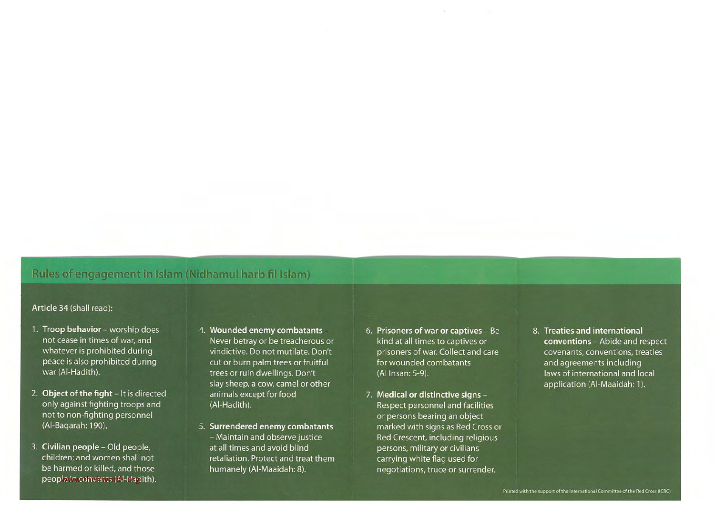## Rules of engagement in Islam (Nidhamul harb fil Islam)

## Article 34 (shall read):

- 1. Troop behavior worship does not cease in times of war, and whatever is prohibited during peace is also prohibited during war (Al-Hadith).
- 2. Object of the fight It is directed only against fighting troops and not to non-fighting personnel (Al-Baqarah: 190).
- 3. Civilian people Old people, children; and women shall not be harmed or killed, and those people in convents (Al-Hadith).
- 4. Wounded enemy combatants -Never betray or be treacherous or vindictive. Do not mutilate. Don't cut or burn palm trees or fruitful trees or ruin dwellings. Don't slay sheep, <sup>a</sup> cow, camel or other animals except for food (Al-Hadith).
- 5. Surrendered enemy combatants — Maintain and observe justice at all times and avoid blind retaliation. Protect and treat them humanely (Al-Maaidah: 8).
- 6. Prisoners of war or captives Be kind at all times to captives or prisoners of war. Collect and care for wounded combatants (Al Insan: 5-9).
- 7. Medical or distinctive signs Respect personnel and facilities or persons bearing an object marked with signs as Red Cross or Red Crescent, including religious persons, military or civilians carrying white flag used for negotiations, truce or surrender.
- 8. Treaties and international conventions — Abide and respect covenants, conventions, treaties and agreements including laws of international and local application (Al-Maaidah: 1).